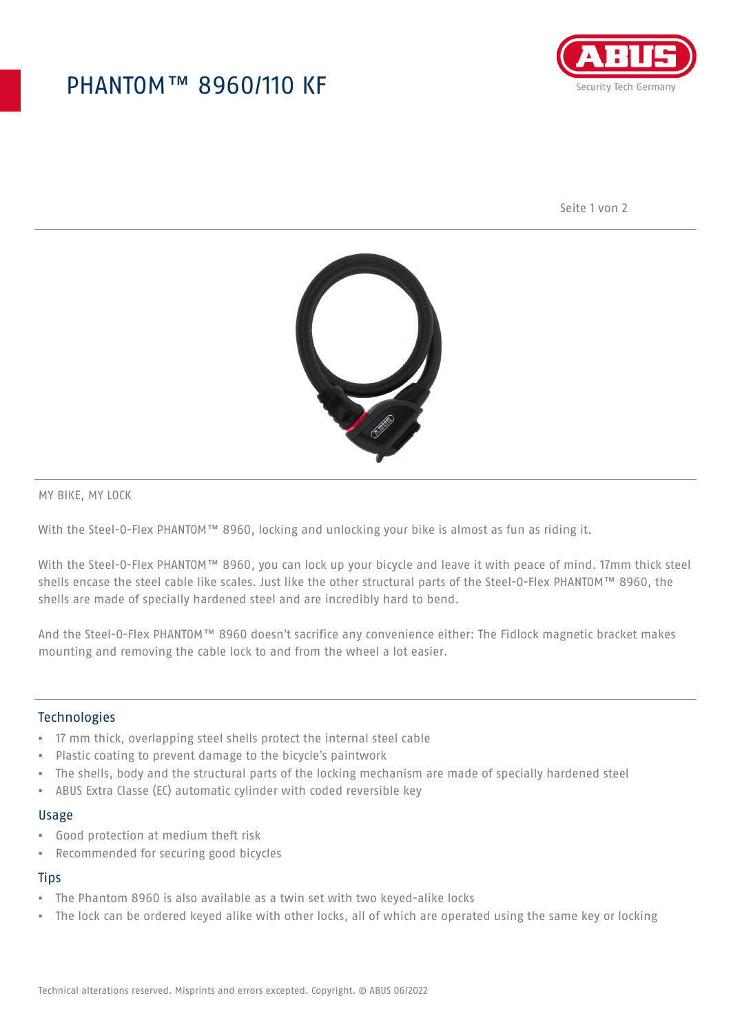## PHANTOM™ 8960/110 KF



Seite 1 von 2



MY BIKE, MY LOCK

With the Steel-O-Flex PHANTOM™ 8960, locking and unlocking your bike is almost as fun as riding it.

With the Steel-O-Flex PHANTOM™ 8960, you can lock up your bicycle and leave it with peace of mind. 17mm thick steel shells encase the steel cable like scales. Just like the other structural parts of the Steel-O-Flex PHANTOM™ 8960, the shells are made of specially hardened steel and are incredibly hard to bend.

And the Steel-O-Flex PHANTOM™ 8960 doesn't sacrifice any convenience either: The Fidlock magnetic bracket makes mounting and removing the cable lock to and from the wheel a lot easier.

### Technologies

- 17 mm thick, overlapping steel shells protect the internal steel cable
- Plastic coating to prevent damage to the bicycle's paintwork
- The shells, body and the structural parts of the locking mechanism are made of specially hardened steel
- ABUS Extra Classe (EC) automatic cylinder with coded reversible key

#### Usage

- Good protection at medium theft risk
- Recommended for securing good bicycles

### **Tips**

- The Phantom 8960 is also available as a twin set with two keyed-alike locks
- The lock can be ordered keyed alike with other locks, all of which are operated using the same key or locking